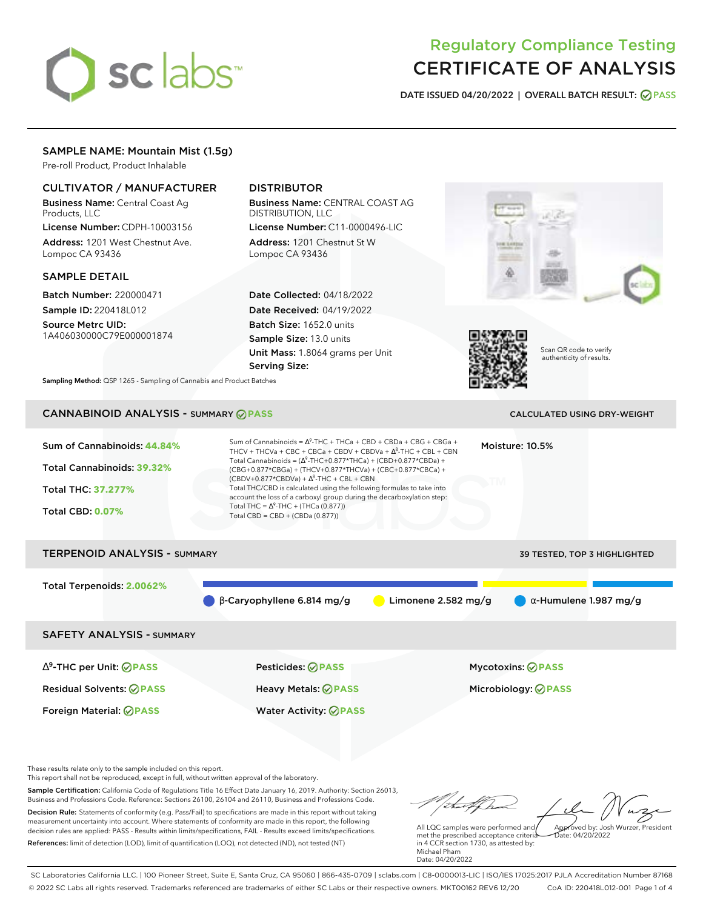# sclabs<sup>\*</sup>

# Regulatory Compliance Testing CERTIFICATE OF ANALYSIS

**DATE ISSUED 04/20/2022 | OVERALL BATCH RESULT: PASS**

# SAMPLE NAME: Mountain Mist (1.5g)

Pre-roll Product, Product Inhalable

# CULTIVATOR / MANUFACTURER

Business Name: Central Coast Ag Products, LLC

License Number: CDPH-10003156 Address: 1201 West Chestnut Ave. Lompoc CA 93436

# SAMPLE DETAIL

Batch Number: 220000471 Sample ID: 220418L012

Source Metrc UID: 1A406030000C79E000001874

# DISTRIBUTOR

Business Name: CENTRAL COAST AG DISTRIBUTION, LLC License Number: C11-0000496-LIC

Address: 1201 Chestnut St W Lompoc CA 93436

Date Collected: 04/18/2022 Date Received: 04/19/2022 Batch Size: 1652.0 units Sample Size: 13.0 units Unit Mass: 1.8064 grams per Unit Serving Size:





Scan QR code to verify authenticity of results.

**Sampling Method:** QSP 1265 - Sampling of Cannabis and Product Batches

# CANNABINOID ANALYSIS - SUMMARY **PASS** CALCULATED USING DRY-WEIGHT

| Sum of Cannabinoids: 44.84%<br>Total Cannabinoids: 39.32%<br>Total THC: 37.277%<br><b>Total CBD: 0.07%</b> | Sum of Cannabinoids = $\Delta^9$ -THC + THCa + CBD + CBDa + CBG + CBGa +<br>THCV + THCVa + CBC + CBCa + CBDV + CBDVa + $\Delta^8$ -THC + CBL + CBN<br>Total Cannabinoids = $(\Delta^9$ -THC+0.877*THCa) + (CBD+0.877*CBDa) +<br>(CBG+0.877*CBGa) + (THCV+0.877*THCVa) + (CBC+0.877*CBCa) +<br>$(CBDV+0.877*CBDVa) + \Delta^8$ -THC + CBL + CBN<br>Total THC/CBD is calculated using the following formulas to take into<br>account the loss of a carboxyl group during the decarboxylation step:<br>Total THC = $\Delta^9$ -THC + (THCa (0.877))<br>Total CBD = CBD + (CBDa (0.877)) |                       | Moisture: 10.5%                                 |
|------------------------------------------------------------------------------------------------------------|--------------------------------------------------------------------------------------------------------------------------------------------------------------------------------------------------------------------------------------------------------------------------------------------------------------------------------------------------------------------------------------------------------------------------------------------------------------------------------------------------------------------------------------------------------------------------------------|-----------------------|-------------------------------------------------|
| <b>TERPENOID ANALYSIS - SUMMARY</b>                                                                        |                                                                                                                                                                                                                                                                                                                                                                                                                                                                                                                                                                                      |                       | 39 TESTED, TOP 3 HIGHLIGHTED                    |
| Total Terpenoids: 2.0062%                                                                                  | $\beta$ -Caryophyllene 6.814 mg/g                                                                                                                                                                                                                                                                                                                                                                                                                                                                                                                                                    | Limonene $2.582$ mg/g | $\alpha$ -Humulene 1.987 mg/g                   |
| <b>SAFETY ANALYSIS - SUMMARY</b>                                                                           |                                                                                                                                                                                                                                                                                                                                                                                                                                                                                                                                                                                      |                       |                                                 |
| $\Delta^9$ -THC per Unit: $\oslash$ PASS<br><b>Residual Solvents: ⊘PASS</b>                                | Pesticides: ⊘PASS<br>Heavy Metals: <b>⊘</b> PASS                                                                                                                                                                                                                                                                                                                                                                                                                                                                                                                                     |                       | Mycotoxins: ⊘PASS<br>Microbiology: <b>⊘PASS</b> |

These results relate only to the sample included on this report.

This report shall not be reproduced, except in full, without written approval of the laboratory.

Sample Certification: California Code of Regulations Title 16 Effect Date January 16, 2019. Authority: Section 26013, Business and Professions Code. Reference: Sections 26100, 26104 and 26110, Business and Professions Code. Decision Rule: Statements of conformity (e.g. Pass/Fail) to specifications are made in this report without taking measurement uncertainty into account. Where statements of conformity are made in this report, the following decision rules are applied: PASS - Results within limits/specifications, FAIL - Results exceed limits/specifications.

Foreign Material: **PASS** Water Activity: **PASS**

References: limit of detection (LOD), limit of quantification (LOQ), not detected (ND), not tested (NT)

tal f ha Approved by: Josh Wurzer, President

Date: 04/20/2022

All LQC samples were performed and met the prescribed acceptance criteria in 4 CCR section 1730, as attested by: Michael Pham Date: 04/20/2022

SC Laboratories California LLC. | 100 Pioneer Street, Suite E, Santa Cruz, CA 95060 | 866-435-0709 | sclabs.com | C8-0000013-LIC | ISO/IES 17025:2017 PJLA Accreditation Number 87168 © 2022 SC Labs all rights reserved. Trademarks referenced are trademarks of either SC Labs or their respective owners. MKT00162 REV6 12/20 CoA ID: 220418L012-001 Page 1 of 4